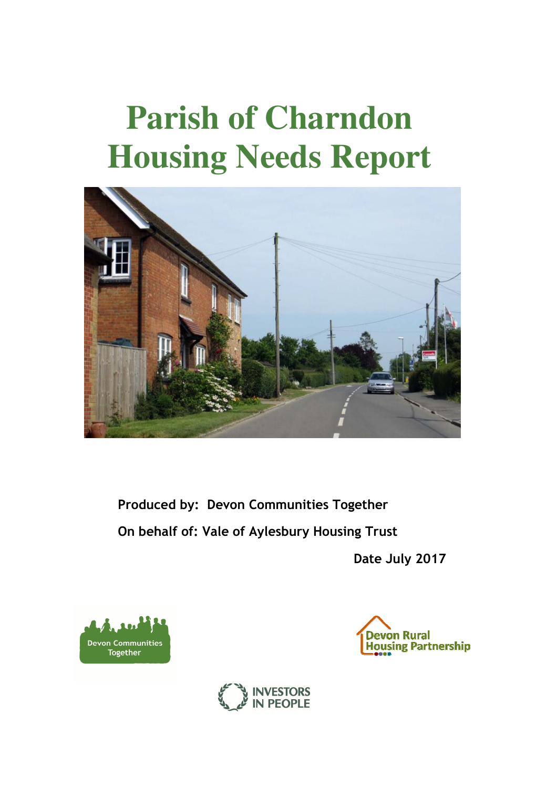# **Parish of Charndon Housing Needs Report**



**Produced by: Devon Communities Together On behalf of: Vale of Aylesbury Housing Trust** 

**Date July 2017** 





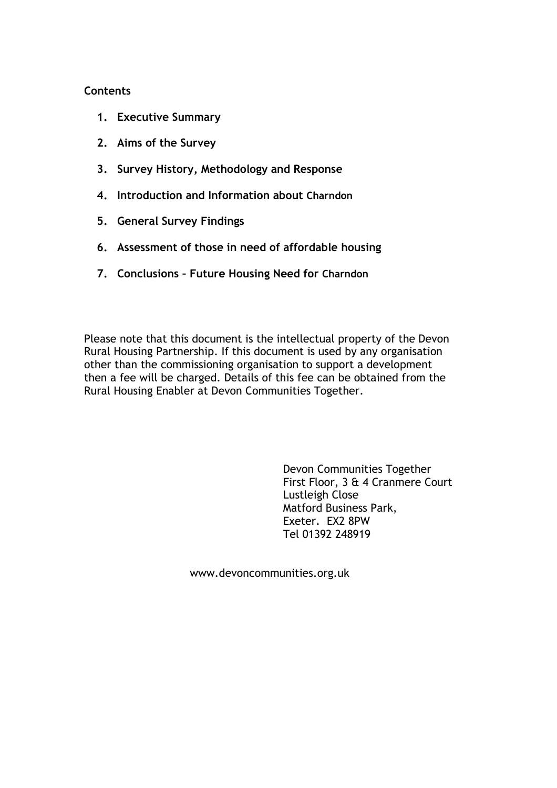## **Contents**

- **1. Executive Summary**
- **2. Aims of the Survey**
- **3. Survey History, Methodology and Response**
- **4. Introduction and Information about Charndon**
- **5. General Survey Findings**
- **6. Assessment of those in need of affordable housing**
- **7. Conclusions Future Housing Need for Charndon**

Please note that this document is the intellectual property of the Devon Rural Housing Partnership. If this document is used by any organisation other than the commissioning organisation to support a development then a fee will be charged. Details of this fee can be obtained from the Rural Housing Enabler at Devon Communities Together.

> Devon Communities Together First Floor, 3 & 4 Cranmere Court Lustleigh Close Matford Business Park, Exeter. EX2 8PW Tel 01392 248919

www.devoncommunities.org.uk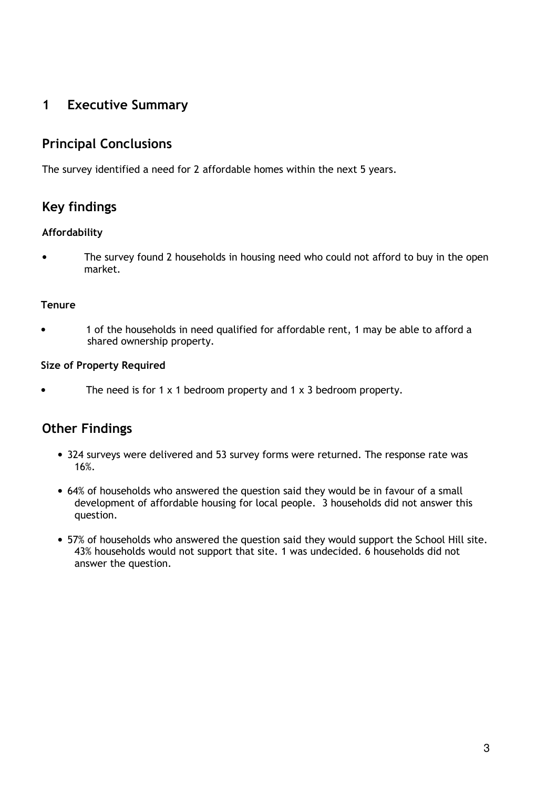# **1 Executive Summary**

# **Principal Conclusions**

The survey identified a need for 2 affordable homes within the next 5 years.

# **Key findings**

# **Affordability**

The survey found 2 households in housing need who could not afford to buy in the open market.

## **Tenure**

• 1 of the households in need qualified for affordable rent, 1 may be able to afford a shared ownership property.

## **Size of Property Required**

The need is for 1  $\times$  1 bedroom property and 1  $\times$  3 bedroom property.

# **Other Findings**

- 324 surveys were delivered and 53 survey forms were returned. The response rate was 16%.
- 64% of households who answered the question said they would be in favour of a small development of affordable housing for local people. 3 households did not answer this question.
- 57% of households who answered the question said they would support the School Hill site. 43% households would not support that site. 1 was undecided. 6 households did not answer the question.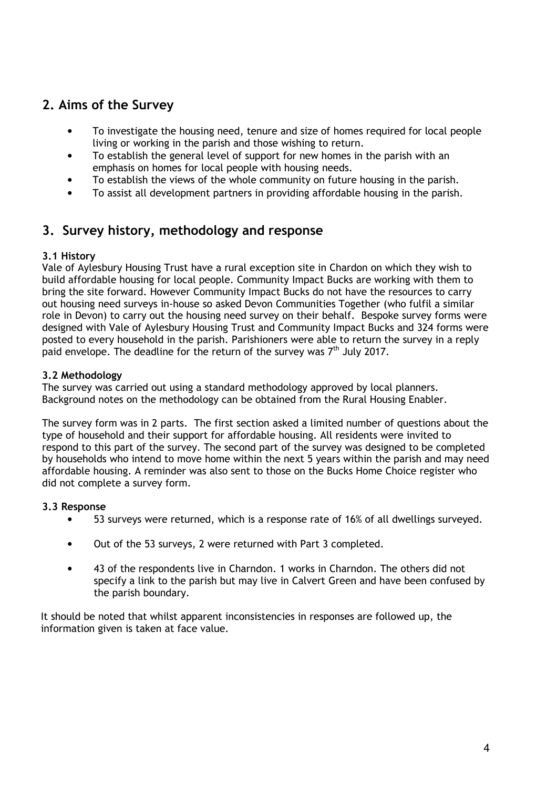# **2. Aims of the Survey**

- To investigate the housing need, tenure and size of homes required for local people living or working in the parish and those wishing to return.
- To establish the general level of support for new homes in the parish with an emphasis on homes for local people with housing needs.
- To establish the views of the whole community on future housing in the parish.
- To assist all development partners in providing affordable housing in the parish.

# **3. Survey history, methodology and response**

## **3.1 History**

Vale of Aylesbury Housing Trust have a rural exception site in Chardon on which they wish to build affordable housing for local people. Community Impact Bucks are working with them to bring the site forward. However Community Impact Bucks do not have the resources to carry out housing need surveys in-house so asked Devon Communities Together (who fulfil a similar role in Devon) to carry out the housing need survey on their behalf. Bespoke survey forms were designed with Vale of Aylesbury Housing Trust and Community Impact Bucks and 324 forms were posted to every household in the parish. Parishioners were able to return the survey in a reply paid envelope. The deadline for the return of the survey was 7<sup>th</sup> July 2017.

### **3.2 Methodology**

The survey was carried out using a standard methodology approved by local planners. Background notes on the methodology can be obtained from the Rural Housing Enabler.

The survey form was in 2 parts. The first section asked a limited number of questions about the type of household and their support for affordable housing. All residents were invited to respond to this part of the survey. The second part of the survey was designed to be completed by households who intend to move home within the next 5 years within the parish and may need affordable housing. A reminder was also sent to those on the Bucks Home Choice register who did not complete a survey form.

#### **3.3 Response**

- 53 surveys were returned, which is a response rate of 16% of all dwellings surveyed.
- Out of the 53 surveys, 2 were returned with Part 3 completed.
- 43 of the respondents live in Charndon. 1 works in Charndon. The others did not specify a link to the parish but may live in Calvert Green and have been confused by the parish boundary.

It should be noted that whilst apparent inconsistencies in responses are followed up, the information given is taken at face value.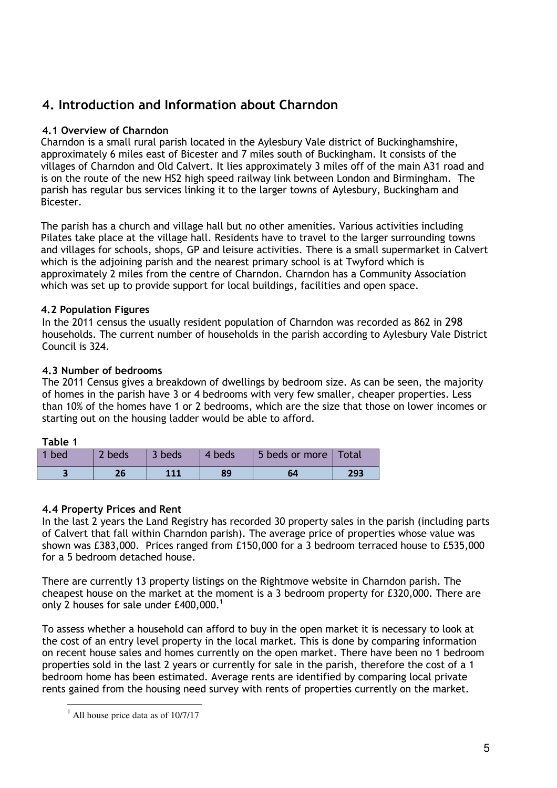# **4. Introduction and Information about Charndon**

## **4.1 Overview of Charndon**

Charndon is a small rural parish located in the Aylesbury Vale district of Buckinghamshire, approximately 6 miles east of Bicester and 7 miles south of Buckingham. It consists of the villages of Charndon and Old Calvert. It lies approximately 3 miles off of the main A31 road and is on the route of the new HS2 high speed railway link between London and Birmingham. The parish has regular bus services linking it to the larger towns of Aylesbury, Buckingham and Bicester.

The parish has a church and village hall but no other amenities. Various activities including Pilates take place at the village hall. Residents have to travel to the larger surrounding towns and villages for schools, shops, GP and leisure activities. There is a small supermarket in Calvert which is the adjoining parish and the nearest primary school is at Twyford which is approximately 2 miles from the centre of Charndon. Charndon has a Community Association which was set up to provide support for local buildings, facilities and open space.

# **4.2 Population Figures**

In the 2011 census the usually resident population of Charndon was recorded as 862 in 298 households. The current number of households in the parish according to Aylesbury Vale District Council is 324.

## **4.3 Number of bedrooms**

The 2011 Census gives a breakdown of dwellings by bedroom size. As can be seen, the majority of homes in the parish have 3 or 4 bedrooms with very few smaller, cheaper properties. Less than 10% of the homes have 1 or 2 bedrooms, which are the size that those on lower incomes or starting out on the housing ladder would be able to afford.

## **Table 1**

l.

| 1 bed | 2 beds | 1 3 beds | 4 beds | 5 beds or more   Total |     |
|-------|--------|----------|--------|------------------------|-----|
|       |        |          | 89     |                        | 293 |

## **4.4 Property Prices and Rent**

In the last 2 years the Land Registry has recorded 30 property sales in the parish (including parts of Calvert that fall within Charndon parish). The average price of properties whose value was shown was £383,000. Prices ranged from £150,000 for a 3 bedroom terraced house to £535,000 for a 5 bedroom detached house.

There are currently 13 property listings on the Rightmove website in Charndon parish. The cheapest house on the market at the moment is a 3 bedroom property for £320,000. There are only 2 houses for sale under  $£400,000.^1$ 

To assess whether a household can afford to buy in the open market it is necessary to look at the cost of an entry level property in the local market. This is done by comparing information on recent house sales and homes currently on the open market. There have been no 1 bedroom properties sold in the last 2 years or currently for sale in the parish, therefore the cost of a 1 bedroom home has been estimated. Average rents are identified by comparing local private rents gained from the housing need survey with rents of properties currently on the market.

<sup>&</sup>lt;sup>1</sup> All house price data as of 10/7/17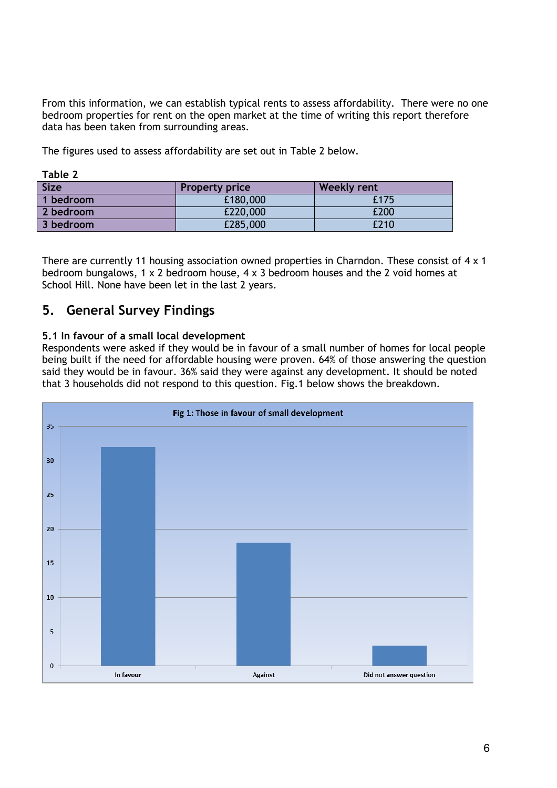From this information, we can establish typical rents to assess affordability. There were no one bedroom properties for rent on the open market at the time of writing this report therefore data has been taken from surrounding areas.

The figures used to assess affordability are set out in Table 2 below.

| <b>Size</b> | <b>Property price</b> | <b>Weekly rent</b> |
|-------------|-----------------------|--------------------|
| 1 bedroom   | £180,000              | £175               |
| 2 bedroom   | £220,000              | £200               |
| 3 bedroom   | £285,000              | £210               |

**Table 2** 

There are currently 11 housing association owned properties in Charndon. These consist of 4 x 1 bedroom bungalows, 1 x 2 bedroom house, 4 x 3 bedroom houses and the 2 void homes at School Hill. None have been let in the last 2 years.

# **5. General Survey Findings**

## **5.1 In favour of a small local development**

Respondents were asked if they would be in favour of a small number of homes for local people being built if the need for affordable housing were proven. 64% of those answering the question said they would be in favour. 36% said they were against any development. It should be noted that 3 households did not respond to this question. Fig.1 below shows the breakdown.

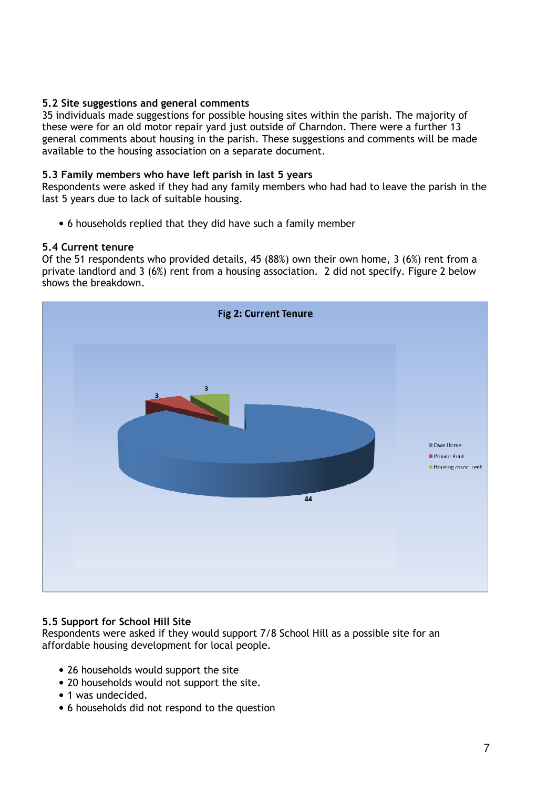### **5.2 Site suggestions and general comments**

35 individuals made suggestions for possible housing sites within the parish. The majority of these were for an old motor repair yard just outside of Charndon. There were a further 13 general comments about housing in the parish. These suggestions and comments will be made available to the housing association on a separate document.

#### **5.3 Family members who have left parish in last 5 years**

Respondents were asked if they had any family members who had had to leave the parish in the last 5 years due to lack of suitable housing.

• 6 households replied that they did have such a family member

#### **5.4 Current tenure**

Of the 51 respondents who provided details, 45 (88%) own their own home, 3 (6%) rent from a private landlord and 3 (6%) rent from a housing association. 2 did not specify. Figure 2 below shows the breakdown.



#### **5.5 Support for School Hill Site**

Respondents were asked if they would support 7/8 School Hill as a possible site for an affordable housing development for local people.

- 26 households would support the site
- 20 households would not support the site.
- 1 was undecided.
- 6 households did not respond to the question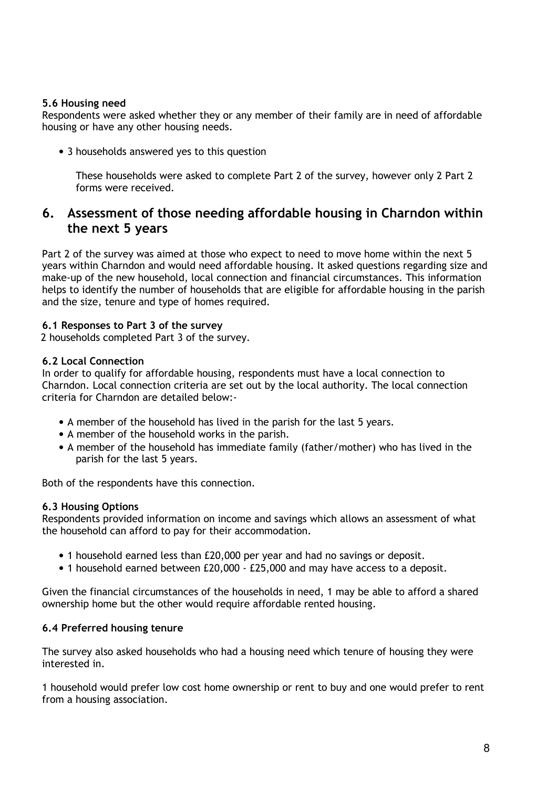### **5.6 Housing need**

Respondents were asked whether they or any member of their family are in need of affordable housing or have any other housing needs.

• 3 households answered yes to this question

These households were asked to complete Part 2 of the survey, however only 2 Part 2 forms were received.

# **6. Assessment of those needing affordable housing in Charndon within the next 5 years**

Part 2 of the survey was aimed at those who expect to need to move home within the next 5 years within Charndon and would need affordable housing. It asked questions regarding size and make-up of the new household, local connection and financial circumstances. This information helps to identify the number of households that are eligible for affordable housing in the parish and the size, tenure and type of homes required.

### **6.1 Responses to Part 3 of the survey**

2 households completed Part 3 of the survey.

#### **6.2 Local Connection**

In order to qualify for affordable housing, respondents must have a local connection to Charndon. Local connection criteria are set out by the local authority. The local connection criteria for Charndon are detailed below:-

- A member of the household has lived in the parish for the last 5 years.
- A member of the household works in the parish.
- A member of the household has immediate family (father/mother) who has lived in the parish for the last 5 years.

Both of the respondents have this connection.

#### **6.3 Housing Options**

Respondents provided information on income and savings which allows an assessment of what the household can afford to pay for their accommodation.

- 1 household earned less than £20,000 per year and had no savings or deposit.
- 1 household earned between £20,000 £25,000 and may have access to a deposit.

Given the financial circumstances of the households in need, 1 may be able to afford a shared ownership home but the other would require affordable rented housing.

#### **6.4 Preferred housing tenure**

The survey also asked households who had a housing need which tenure of housing they were interested in.

1 household would prefer low cost home ownership or rent to buy and one would prefer to rent from a housing association.